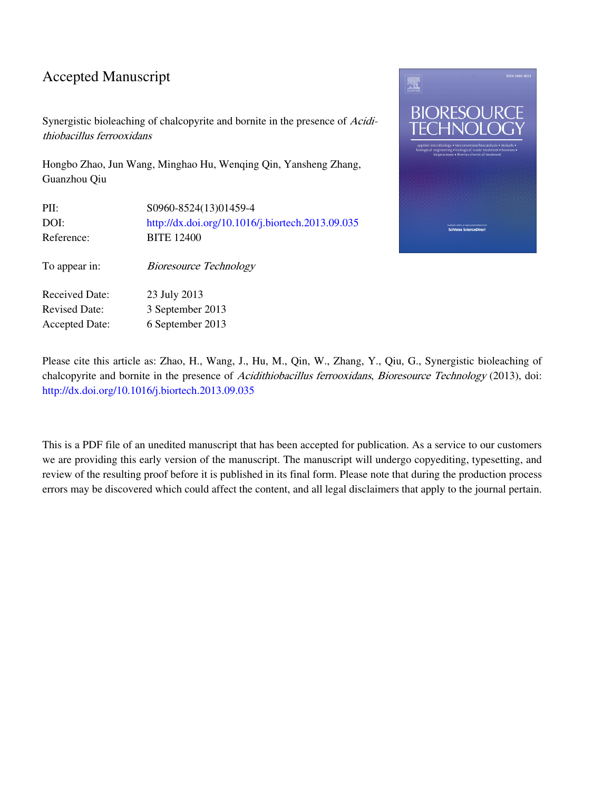### Accepted Manuscript

Synergistic bioleaching of chalcopyrite and bornite in the presence of Acidithiobacillus ferrooxidans

Hongbo Zhao, Jun Wang, Minghao Hu, Wenqing Qin, Yansheng Zhang, Guanzhou Qiu

| PII:                  | S0960-8524(13)01459-4                            |
|-----------------------|--------------------------------------------------|
| DOI:                  | http://dx.doi.org/10.1016/j.biortech.2013.09.035 |
| Reference:            | <b>BITE 12400</b>                                |
| To appear in:         | <b>Bioresource Technology</b>                    |
| <b>Received Date:</b> | 23 July 2013                                     |
| <b>Revised Date:</b>  | 3 September 2013                                 |
| <b>Accepted Date:</b> | 6 September 2013                                 |



Please cite this article as: Zhao, H., Wang, J., Hu, M., Qin, W., Zhang, Y., Qiu, G., Synergistic bioleaching of chalcopyrite and bornite in the presence of Acidithiobacillus ferrooxidans, Bioresource Technology (2013), doi: [http://dx.doi.org/10.1016/j.biortech.2013.09.035](http://dx.doi.org/http://dx.doi.org/10.1016/j.biortech.2013.09.035)

This is a PDF file of an unedited manuscript that has been accepted for publication. As a service to our customers we are providing this early version of the manuscript. The manuscript will undergo copyediting, typesetting, and review of the resulting proof before it is published in its final form. Please note that during the production process errors may be discovered which could affect the content, and all legal disclaimers that apply to the journal pertain.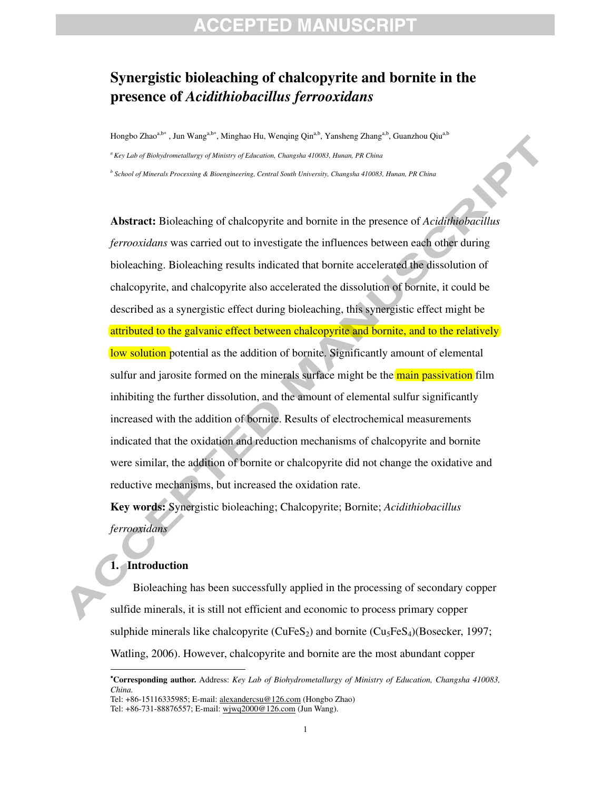### **Synergistic bioleaching of chalcopyrite and bornite in the presence of** *Acidithiobacillus ferrooxidans*

Hongbo Zhaoª,b∗ , Jun Wang<sup>a,b∗</sup>, Minghao Hu, Wenqing Qin<sup>a,b</sup>, Yansheng Zhang<sup>a,b</sup>, Guanzhou Qiu<sup>a,b</sup>

*a Key Lab of Biohydrometallurgy of Ministry of Education, Changsha 410083, Hunan, PR China* 

*b School of Minerals Processing & Bioengineering, Central South University, Changsha 410083, Hunan, PR China* 

**Abstract:** Bioleaching of chalcopyrite and bornite in the presence of *Acidithiobacillus ferrooxidans* was carried out to investigate the influences between each other during bioleaching. Bioleaching results indicated that bornite accelerated the dissolution of chalcopyrite, and chalcopyrite also accelerated the dissolution of bornite, it could be described as a synergistic effect during bioleaching, this synergistic effect might be attributed to the galvanic effect between chalcopyrite and bornite, and to the relatively low solution potential as the addition of bornite. Significantly amount of elemental sulfur and jarosite formed on the minerals surface might be the main passivation film inhibiting the further dissolution, and the amount of elemental sulfur significantly increased with the addition of bornite. Results of electrochemical measurements indicated that the oxidation and reduction mechanisms of chalcopyrite and bornite were similar, the addition of bornite or chalcopyrite did not change the oxidative and reductive mechanisms, but increased the oxidation rate.

**Key words:** Synergistic bioleaching; Chalcopyrite; Bornite; *Acidithiobacillus ferrooxidans*

### **1. Introduction**

 $\overline{a}$ 

Bioleaching has been successfully applied in the processing of secondary copper sulfide minerals, it is still not efficient and economic to process primary copper sulphide minerals like chalcopyrite (CuFeS<sub>2</sub>) and bornite (Cu<sub>5</sub>FeS<sub>4</sub>)(Bosecker, 1997; Watling, 2006). However, chalcopyrite and bornite are the most abundant copper

<sup>∗</sup> **Corresponding author.** Address: *Key Lab of Biohydrometallurgy of Ministry of Education, Changsha 410083, China.* 

Tel: +86-15116335985; E-mail: alexandercsu@126.com (Hongbo Zhao)

Tel: +86-731-88876557; E-mail: wjwq2000@126.com (Jun Wang).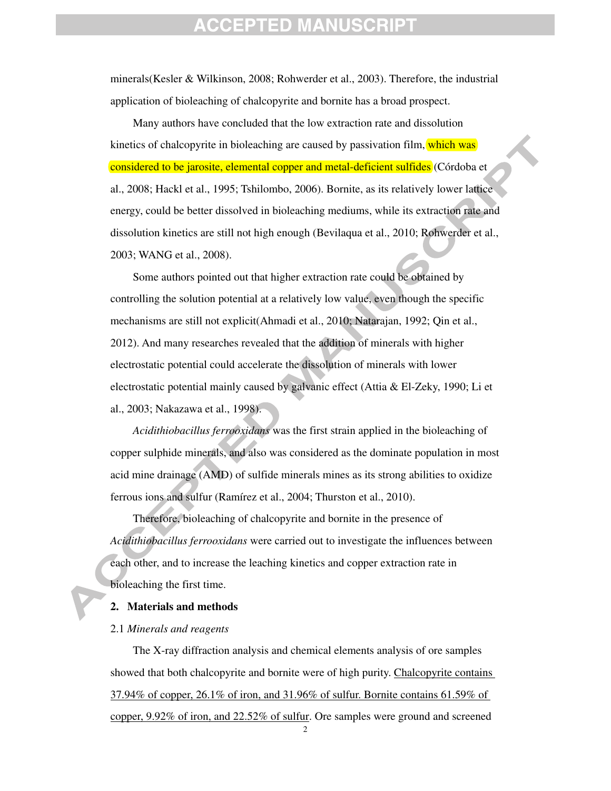minerals(Kesler & Wilkinson, 2008; Rohwerder et al., 2003). Therefore, the industrial application of bioleaching of chalcopyrite and bornite has a broad prospect.

Many authors have concluded that the low extraction rate and dissolution kinetics of chalcopyrite in bioleaching are caused by passivation film, which was considered to be jarosite, elemental copper and metal-deficient sulfides (Córdoba et al., 2008; Hackl et al., 1995; Tshilombo, 2006). Bornite, as its relatively lower lattice energy, could be better dissolved in bioleaching mediums, while its extraction rate and dissolution kinetics are still not high enough (Bevilaqua et al., 2010; Rohwerder et al., 2003; WANG et al., 2008).

Some authors pointed out that higher extraction rate could be obtained by controlling the solution potential at a relatively low value, even though the specific mechanisms are still not explicit(Ahmadi et al., 2010; Natarajan, 1992; Qin et al., 2012). And many researches revealed that the addition of minerals with higher electrostatic potential could accelerate the dissolution of minerals with lower electrostatic potential mainly caused by galvanic effect (Attia & El-Zeky, 1990; Li et al., 2003; Nakazawa et al., 1998).

*Acidithiobacillus ferrooxidans* was the first strain applied in the bioleaching of copper sulphide minerals, and also was considered as the dominate population in most acid mine drainage (AMD) of sulfide minerals mines as its strong abilities to oxidize ferrous ions and sulfur (Ramírez et al., 2004; Thurston et al., 2010).

Therefore, bioleaching of chalcopyrite and bornite in the presence of *Acidithiobacillus ferrooxidans* were carried out to investigate the influences between each other, and to increase the leaching kinetics and copper extraction rate in bioleaching the first time.

#### **2. Materials and methods**

#### 2.1 *Minerals and reagents*

The X-ray diffraction analysis and chemical elements analysis of ore samples showed that both chalcopyrite and bornite were of high purity. Chalcopyrite contains 37.94% of copper, 26.1% of iron, and 31.96% of sulfur. Bornite contains 61.59% of copper, 9.92% of iron, and 22.52% of sulfur. Ore samples were ground and screened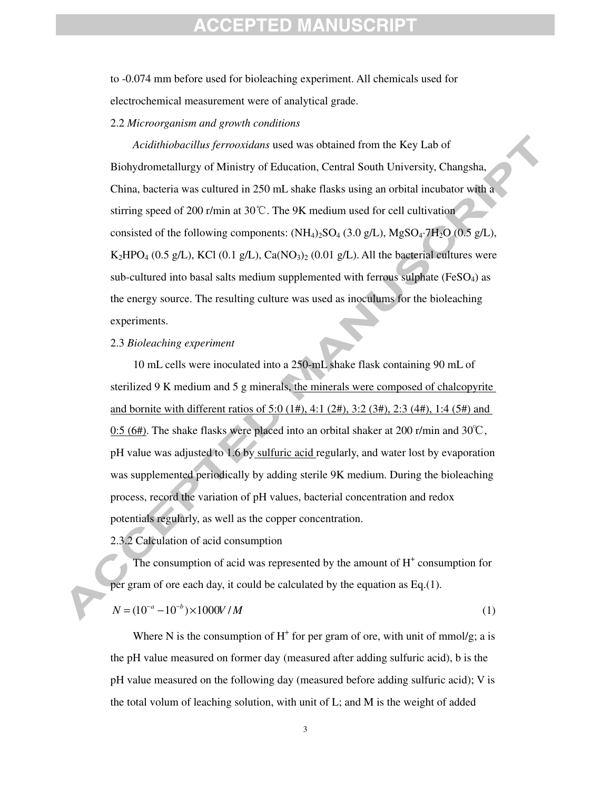to -0.074 mm before used for bioleaching experiment. All chemicals used for electrochemical measurement were of analytical grade.

#### 2.2 *Microorganism and growth conditions*

*Acidithiobacillus ferrooxidans* used was obtained from the Key Lab of Biohydrometallurgy of Ministry of Education, Central South University, Changsha, China, bacteria was cultured in 250 mL shake flasks using an orbital incubator with a stirring speed of 200 r/min at 30℃. The 9K medium used for cell cultivation consisted of the following components:  $(NH<sub>4</sub>)<sub>2</sub>SO<sub>4</sub>(3.0 g/L)$ , MgSO<sub>4</sub>·7H<sub>2</sub>O (0.5 g/L),  $K_2HPO_4$  (0.5 g/L), KCl (0.1 g/L), Ca(NO<sub>3</sub>)<sub>2</sub> (0.01 g/L). All the bacterial cultures were sub-cultured into basal salts medium supplemented with ferrous sulphate ( $FeSO<sub>4</sub>$ ) as the energy source. The resulting culture was used as inoculums for the bioleaching experiments.

### 2.3 *Bioleaching experiment*

10 mL cells were inoculated into a 250-mL shake flask containing 90 mL of sterilized 9 K medium and 5 g minerals, the minerals were composed of chalcopyrite and bornite with different ratios of 5:0 (1#), 4:1 (2#), 3:2 (3#), 2:3 (4#), 1:4 (5#) and 0:5 (6#). The shake flasks were placed into an orbital shaker at 200 r/min and 30°C, pH value was adjusted to 1.6 by sulfuric acid regularly, and water lost by evaporation was supplemented periodically by adding sterile 9K medium. During the bioleaching process, record the variation of pH values, bacterial concentration and redox potentials regularly, as well as the copper concentration.

2.3.2 Calculation of acid consumption

The consumption of acid was represented by the amount of  $H^+$  consumption for per gram of ore each day, it could be calculated by the equation as Eq.(1).

$$
N = (10^{-a} - 10^{-b}) \times 1000V / M
$$
 (1)

Where N is the consumption of  $H^+$  for per gram of ore, with unit of mmol/g; a is the pH value measured on former day (measured after adding sulfuric acid), b is the pH value measured on the following day (measured before adding sulfuric acid); V is the total volum of leaching solution, with unit of L; and M is the weight of added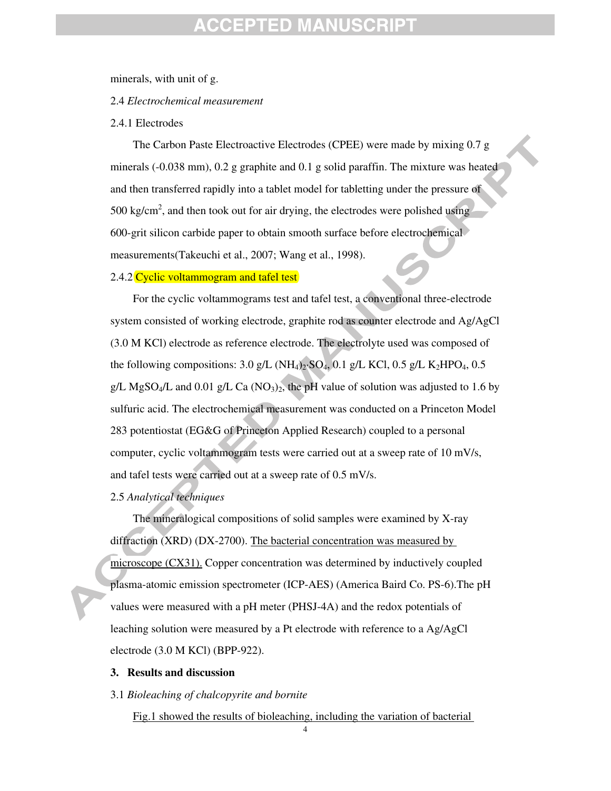### CEPTED MANUS

minerals, with unit of g.

### 2.4 *Electrochemical measurement*

#### 2.4.1 Electrodes

The Carbon Paste Electroactive Electrodes (CPEE) were made by mixing 0.7 g minerals (-0.038 mm), 0.2 g graphite and 0.1 g solid paraffin. The mixture was heated and then transferred rapidly into a tablet model for tabletting under the pressure of 500 kg/cm<sup>2</sup>, and then took out for air drying, the electrodes were polished using 600-grit silicon carbide paper to obtain smooth surface before electrochemical measurements(Takeuchi et al., 2007; Wang et al., 1998).

#### 2.4.2 Cyclic voltammogram and tafel test

For the cyclic voltammograms test and tafel test, a conventional three-electrode system consisted of working electrode, graphite rod as counter electrode and Ag/AgCl (3.0 M KCl) electrode as reference electrode. The electrolyte used was composed of the following compositions: 3.0 g/L (NH<sub>4</sub>)<sub>2</sub>·SO<sub>4</sub>, 0.1 g/L KCl, 0.5 g/L K<sub>2</sub>HPO<sub>4</sub>, 0.5 g/L MgSO<sub>4</sub>/L and 0.01 g/L Ca (NO<sub>3</sub>)<sub>2</sub>, the pH value of solution was adjusted to 1.6 by sulfuric acid. The electrochemical measurement was conducted on a Princeton Model 283 potentiostat (EG&G of Princeton Applied Research) coupled to a personal computer, cyclic voltammogram tests were carried out at a sweep rate of 10 mV/s, and tafel tests were carried out at a sweep rate of 0.5 mV/s.

### 2.5 *Analytical techniques*

The mineralogical compositions of solid samples were examined by X-ray diffraction (XRD) (DX-2700). The bacterial concentration was measured by microscope (CX31). Copper concentration was determined by inductively coupled plasma-atomic emission spectrometer (ICP-AES) (America Baird Co. PS-6).The pH values were measured with a pH meter (PHSJ-4A) and the redox potentials of leaching solution were measured by a Pt electrode with reference to a Ag/AgCl electrode (3.0 M KCl) (BPP-922).

#### **3. Results and discussion**

### 3.1 *Bioleaching of chalcopyrite and bornite*

Fig.1 showed the results of bioleaching, including the variation of bacterial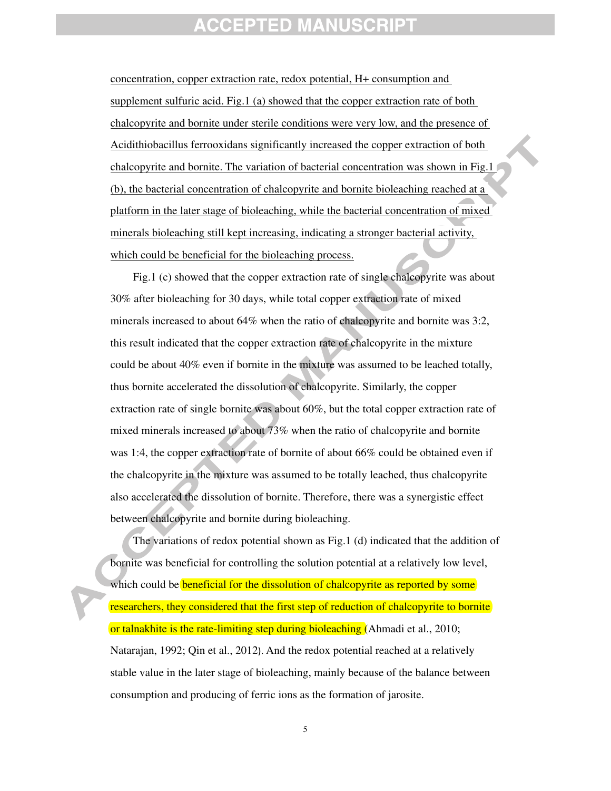concentration, copper extraction rate, redox potential, H+ consumption and supplement sulfuric acid. Fig.1 (a) showed that the copper extraction rate of both chalcopyrite and bornite under sterile conditions were very low, and the presence of Acidithiobacillus ferrooxidans significantly increased the copper extraction of both chalcopyrite and bornite. The variation of bacterial concentration was shown in Fig.1 (b), the bacterial concentration of chalcopyrite and bornite bioleaching reached at a platform in the later stage of bioleaching, while the bacterial concentration of mixed minerals bioleaching still kept increasing, indicating a stronger bacterial activity, which could be beneficial for the bioleaching process.

Fig.1 (c) showed that the copper extraction rate of single chalcopyrite was about 30% after bioleaching for 30 days, while total copper extraction rate of mixed minerals increased to about 64% when the ratio of chalcopyrite and bornite was 3:2, this result indicated that the copper extraction rate of chalcopyrite in the mixture could be about 40% even if bornite in the mixture was assumed to be leached totally, thus bornite accelerated the dissolution of chalcopyrite. Similarly, the copper extraction rate of single bornite was about 60%, but the total copper extraction rate of mixed minerals increased to about 73% when the ratio of chalcopyrite and bornite was 1:4, the copper extraction rate of bornite of about 66% could be obtained even if the chalcopyrite in the mixture was assumed to be totally leached, thus chalcopyrite also accelerated the dissolution of bornite. Therefore, there was a synergistic effect between chalcopyrite and bornite during bioleaching.

The variations of redox potential shown as Fig.1 (d) indicated that the addition of bornite was beneficial for controlling the solution potential at a relatively low level, which could be **beneficial for the dissolution of chalcopyrite as reported by some** researchers, they considered that the first step of reduction of chalcopyrite to bornite or talnakhite is the rate-limiting step during bioleaching (Ahmadi et al., 2010; Natarajan, 1992; Qin et al., 2012). And the redox potential reached at a relatively stable value in the later stage of bioleaching, mainly because of the balance between consumption and producing of ferric ions as the formation of jarosite.

5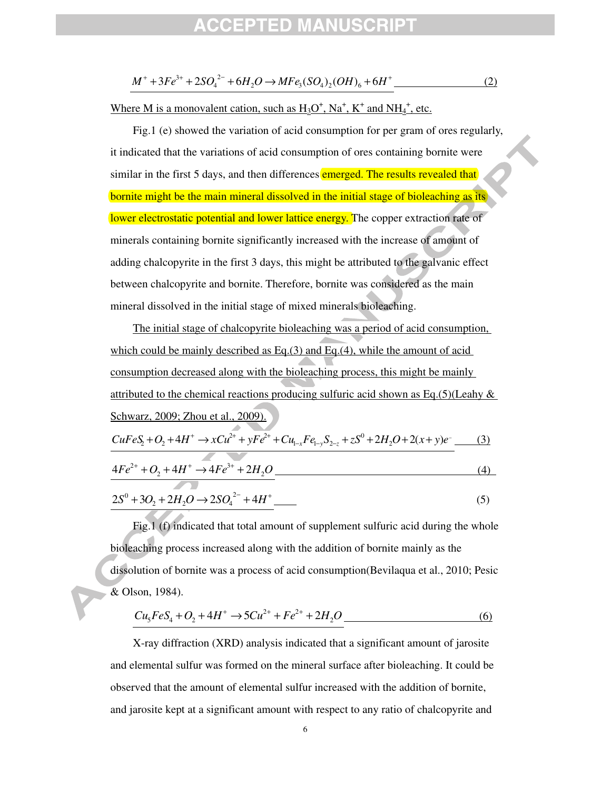$$
M^{+} + 3Fe^{3+} + 2SO_4^{2-} + 6H_2O \rightarrow MFe_3(SO_4)_2(OH)_6 + 6H^{+}
$$
 (2)

Where M is a monovalent cation, such as  $H_3O^+$ ,  $Na^+$ ,  $K^+$  and  $NH_4^+$ , etc.

Fig.1 (e) showed the variation of acid consumption for per gram of ores regularly, it indicated that the variations of acid consumption of ores containing bornite were similar in the first 5 days, and then differences **emerged. The results revealed that** bornite might be the main mineral dissolved in the initial stage of bioleaching as its lower electrostatic potential and lower lattice energy. The copper extraction rate of minerals containing bornite significantly increased with the increase of amount of adding chalcopyrite in the first 3 days, this might be attributed to the galvanic effect between chalcopyrite and bornite. Therefore, bornite was considered as the main mineral dissolved in the initial stage of mixed minerals bioleaching.

The initial stage of chalcopyrite bioleaching was a period of acid consumption, which could be mainly described as Eq.(3) and Eq.(4), while the amount of acid consumption decreased along with the bioleaching process, this might be mainly attributed to the chemical reactions producing sulfuric acid shown as Eq.(5)(Leahy  $\&$ Schwarz, 2009; Zhou et al., 2009).  $CuFeS<sub>2</sub> + O<sub>2</sub> + 4H<sup>+</sup> \rightarrow xCu<sup>2+</sup> + yFe<sup>2+</sup> + Cu<sub>1-x</sub>Fe<sub>1-y</sub>S<sub>2-z</sub> + zS<sup>0</sup> + 2H<sub>2</sub>O + 2(x + y)e$  $y_{-x}$   $y_{-y}$   $y_{2}$  $\Sigma_2 + O_2 + 4H^+ \rightarrow xCu^{2+} + yFe^{2+} + Cu_{1-x}Fe_{1-y}S_{2-z} + zS^0 + 2H_2O + 2(x+y)e^{-}$  (3)  $4Fe^{2+} + O_2 + 4H^+ \rightarrow 4Fe^{3+} + 2H_2O$  (4)  $2S^0 + 3O_2 + 2H_2O \rightarrow 2SO_4^{2-} + 4H^+$  (5)

Fig.1 (f) indicated that total amount of supplement sulfuric acid during the whole bioleaching process increased along with the addition of bornite mainly as the dissolution of bornite was a process of acid consumption(Bevilaqua et al., 2010; Pesic & Olson, 1984).

$$
Cu5FeS4 + O2 + 4H+ \to 5Cu2+ + Fe2+ + 2H2O
$$
\n(6)

X-ray diffraction (XRD) analysis indicated that a significant amount of jarosite and elemental sulfur was formed on the mineral surface after bioleaching. It could be observed that the amount of elemental sulfur increased with the addition of bornite, and jarosite kept at a significant amount with respect to any ratio of chalcopyrite and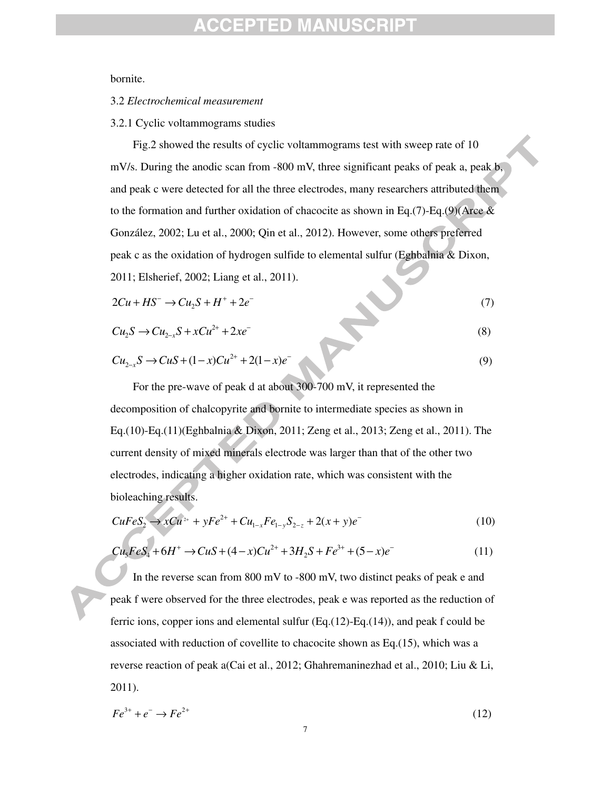bornite.

#### 3.2 *Electrochemical measurement*

3.2.1 Cyclic voltammograms studies

Fig.2 showed the results of cyclic voltammograms test with sweep rate of 10 mV/s. During the anodic scan from -800 mV, three significant peaks of peak a, peak b, and peak c were detected for all the three electrodes, many researchers attributed them to the formation and further oxidation of chacocite as shown in Eq.(7)-Eq.(9)(Arce  $\&$ González, 2002; Lu et al., 2000; Qin et al., 2012). However, some others preferred peak c as the oxidation of hydrogen sulfide to elemental sulfur (Eghbalnia & Dixon,

2011; Elsherief, 2002; Liang et al., 2011).

$$
2Cu + HS^- \rightarrow Cu_2S + H^+ + 2e^- \tag{7}
$$

$$
Cu_2S \to Cu_{2-x}S + xCu^{2+} + 2xe^{-}
$$
 (8)

$$
Cu_{2-x}S \to CuS + (1-x)Cu^{2+} + 2(1-x)e^{-}
$$
\n(9)

For the pre-wave of peak d at about 300-700 mV, it represented the decomposition of chalcopyrite and bornite to intermediate species as shown in Eq.(10)-Eq.(11)(Eghbalnia & Dixon, 2011; Zeng et al., 2013; Zeng et al., 2011). The current density of mixed minerals electrode was larger than that of the other two electrodes, indicating a higher oxidation rate, which was consistent with the bioleaching results.

$$
CuFeS_2 \to xCu^{2+} + yFe^{2+} + Cu_{1-x}Fe_{1-y}S_{2-z} + 2(x+y)e^{-}
$$
\n(10)

$$
Cu5FeS4 + 6H+ \to CuS + (4 - x)Cu2+ + 3H2S + Fe3+ + (5 - x)e-
$$
 (11)

In the reverse scan from 800 mV to -800 mV, two distinct peaks of peak e and peak f were observed for the three electrodes, peak e was reported as the reduction of ferric ions, copper ions and elemental sulfur (Eq.(12)-Eq.(14)), and peak f could be associated with reduction of covellite to chacocite shown as Eq.(15), which was a reverse reaction of peak a(Cai et al., 2012; Ghahremaninezhad et al., 2010; Liu & Li, 2011).

$$
Fe^{3+} + e^- \rightarrow Fe^{2+} \tag{12}
$$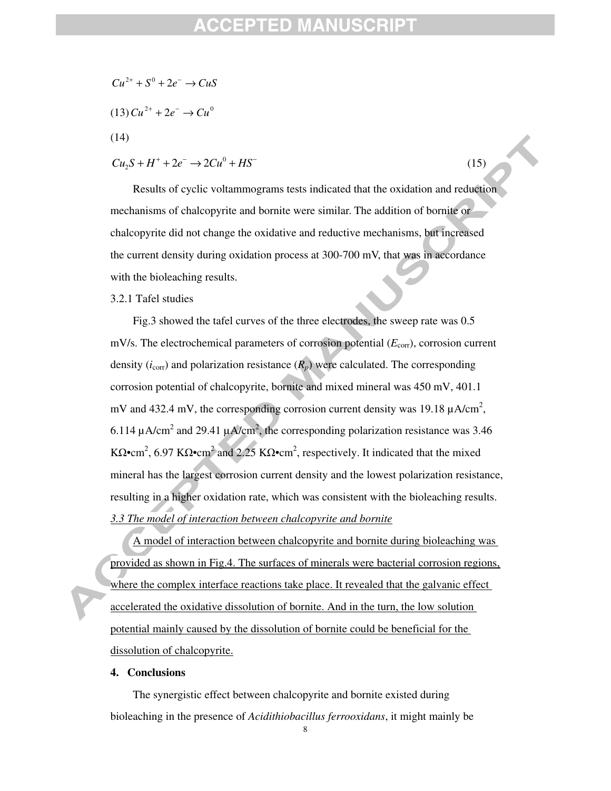### FPTFD MANL

- $Cu^{2+} + S^0 + 2e^- \rightarrow CuS$
- $(13) Cu^{2+} + 2e^- \rightarrow Cu^0$
- (14)

$$
Cu_2S + H^+ + 2e^- \to 2Cu^0 + HS^-
$$
 (15)

Results of cyclic voltammograms tests indicated that the oxidation and reduction mechanisms of chalcopyrite and bornite were similar. The addition of bornite or chalcopyrite did not change the oxidative and reductive mechanisms, but increased the current density during oxidation process at 300-700 mV, that was in accordance with the bioleaching results.

### 3.2.1 Tafel studies

Fig.3 showed the tafel curves of the three electrodes, the sweep rate was 0.5 mV/s. The electrochemical parameters of corrosion potential ( $E_{\text{corr}}$ ), corrosion current density  $(i_{\text{corr}})$  and polarization resistance  $(R_p)$  were calculated. The corresponding corrosion potential of chalcopyrite, bornite and mixed mineral was 450 mV, 401.1 mV and 432.4 mV, the corresponding corrosion current density was 19.18  $\mu$ A/cm<sup>2</sup>, 6.114  $\mu$ A/cm<sup>2</sup> and 29.41  $\mu$ A/cm<sup>2</sup>, the corresponding polarization resistance was 3.46 K $\Omega$ •cm<sup>2</sup>, 6.97 K $\Omega$ •cm<sup>2</sup> and 2.25 K $\Omega$ •cm<sup>2</sup>, respectively. It indicated that the mixed mineral has the largest corrosion current density and the lowest polarization resistance, resulting in a higher oxidation rate, which was consistent with the bioleaching results. *3.3 The model of interaction between chalcopyrite and bornite*

A model of interaction between chalcopyrite and bornite during bioleaching was provided as shown in Fig.4. The surfaces of minerals were bacterial corrosion regions, where the complex interface reactions take place. It revealed that the galvanic effect accelerated the oxidative dissolution of bornite. And in the turn, the low solution potential mainly caused by the dissolution of bornite could be beneficial for the dissolution of chalcopyrite.

#### **4. Conclusions**

The synergistic effect between chalcopyrite and bornite existed during bioleaching in the presence of *Acidithiobacillus ferrooxidans*, it might mainly be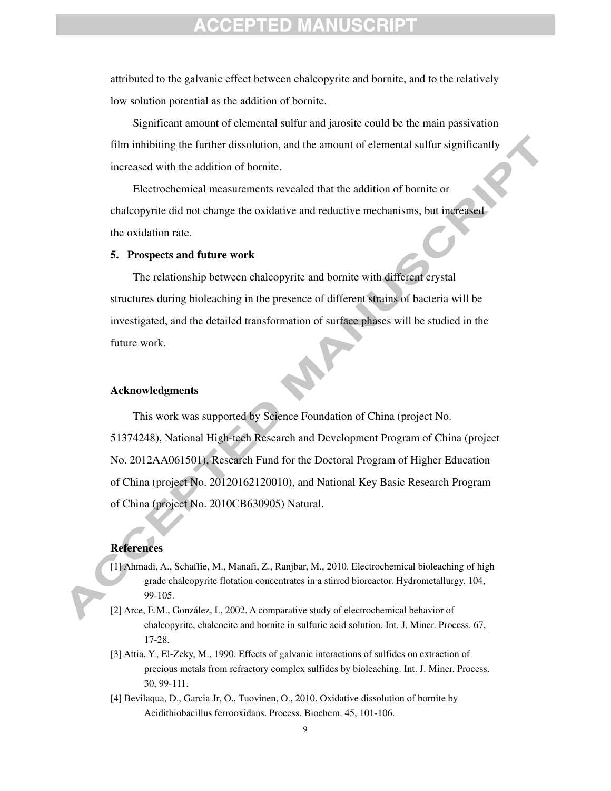attributed to the galvanic effect between chalcopyrite and bornite, and to the relatively low solution potential as the addition of bornite.

Significant amount of elemental sulfur and jarosite could be the main passivation film inhibiting the further dissolution, and the amount of elemental sulfur significantly increased with the addition of bornite.

Electrochemical measurements revealed that the addition of bornite or chalcopyrite did not change the oxidative and reductive mechanisms, but increased the oxidation rate.

#### **5. Prospects and future work**

The relationship between chalcopyrite and bornite with different crystal structures during bioleaching in the presence of different strains of bacteria will be investigated, and the detailed transformation of surface phases will be studied in the future work.

#### **Acknowledgments**

This work was supported by Science Foundation of China (project No. 51374248), National High-tech Research and Development Program of China (project No. 2012AA061501), Research Fund for the Doctoral Program of Higher Education of China (project No. 20120162120010), and National Key Basic Research Program of China (project No. 2010CB630905) Natural.

#### **References**

- [1] Ahmadi, A., Schaffie, M., Manafi, Z., Ranjbar, M., 2010. Electrochemical bioleaching of high grade chalcopyrite flotation concentrates in a stirred bioreactor. Hydrometallurgy. 104, 99-105.
- [2] Arce, E.M., González, I., 2002. A comparative study of electrochemical behavior of chalcopyrite, chalcocite and bornite in sulfuric acid solution. Int. J. Miner. Process. 67, 17-28.
- [3] Attia, Y., El-Zeky, M., 1990. Effects of galvanic interactions of sulfides on extraction of precious metals from refractory complex sulfides by bioleaching. Int. J. Miner. Process. 30, 99-111.
- [4] Bevilaqua, D., Garcia Jr, O., Tuovinen, O., 2010. Oxidative dissolution of bornite by Acidithiobacillus ferrooxidans. Process. Biochem. 45, 101-106.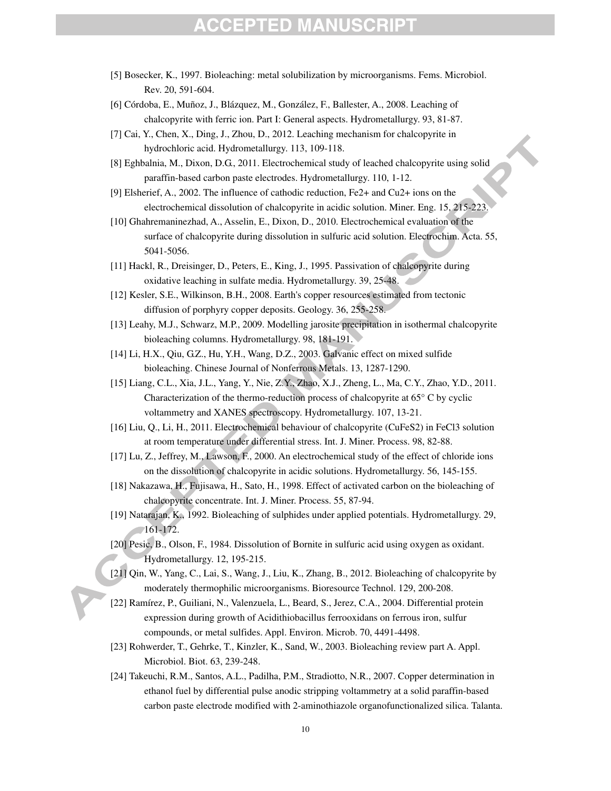- [5] Bosecker, K., 1997. Bioleaching: metal solubilization by microorganisms. Fems. Microbiol. Rev. 20, 591-604.
- [6] Córdoba, E., Muñoz, J., Blázquez, M., González, F., Ballester, A., 2008. Leaching of chalcopyrite with ferric ion. Part I: General aspects. Hydrometallurgy. 93, 81-87.
- [7] Cai, Y., Chen, X., Ding, J., Zhou, D., 2012. Leaching mechanism for chalcopyrite in hydrochloric acid. Hydrometallurgy. 113, 109-118.
- [8] Eghbalnia, M., Dixon, D.G., 2011. Electrochemical study of leached chalcopyrite using solid paraffin-based carbon paste electrodes. Hydrometallurgy. 110, 1-12.
- [9] Elsherief, A., 2002. The influence of cathodic reduction, Fe2+ and Cu2+ ions on the electrochemical dissolution of chalcopyrite in acidic solution. Miner. Eng. 15, 215-223.
- [10] Ghahremaninezhad, A., Asselin, E., Dixon, D., 2010. Electrochemical evaluation of the surface of chalcopyrite during dissolution in sulfuric acid solution. Electrochim. Acta. 55, 5041-5056.
- [11] Hackl, R., Dreisinger, D., Peters, E., King, J., 1995. Passivation of chalcopyrite during oxidative leaching in sulfate media. Hydrometallurgy. 39, 25-48.
- [12] Kesler, S.E., Wilkinson, B.H., 2008. Earth's copper resources estimated from tectonic diffusion of porphyry copper deposits. Geology. 36, 255-258.
- [13] Leahy, M.J., Schwarz, M.P., 2009. Modelling jarosite precipitation in isothermal chalcopyrite bioleaching columns. Hydrometallurgy. 98, 181-191.
- [14] Li, H.X., Qiu, G.Z., Hu, Y.H., Wang, D.Z., 2003. Galvanic effect on mixed sulfide bioleaching. Chinese Journal of Nonferrous Metals. 13, 1287-1290.
- [15] Liang, C.L., Xia, J.L., Yang, Y., Nie, Z.Y., Zhao, X.J., Zheng, L., Ma, C.Y., Zhao, Y.D., 2011. Characterization of the thermo-reduction process of chalcopyrite at  $65^{\circ}$  C by cyclic voltammetry and XANES spectroscopy. Hydrometallurgy. 107, 13-21.
- [16] Liu, Q., Li, H., 2011. Electrochemical behaviour of chalcopyrite (CuFeS2) in FeCl3 solution at room temperature under differential stress. Int. J. Miner. Process. 98, 82-88.
- [17] Lu, Z., Jeffrey, M., Lawson, F., 2000. An electrochemical study of the effect of chloride ions on the dissolution of chalcopyrite in acidic solutions. Hydrometallurgy. 56, 145-155.
- [18] Nakazawa, H., Fujisawa, H., Sato, H., 1998. Effect of activated carbon on the bioleaching of chalcopyrite concentrate. Int. J. Miner. Process. 55, 87-94.
- [19] Natarajan, K., 1992. Bioleaching of sulphides under applied potentials. Hydrometallurgy. 29, 161-172.
- [20] Pesic, B., Olson, F., 1984. Dissolution of Bornite in sulfuric acid using oxygen as oxidant. Hydrometallurgy. 12, 195-215.
- [21] Qin, W., Yang, C., Lai, S., Wang, J., Liu, K., Zhang, B., 2012. Bioleaching of chalcopyrite by moderately thermophilic microorganisms. Bioresource Technol. 129, 200-208.
- [22] Ramírez, P., Guiliani, N., Valenzuela, L., Beard, S., Jerez, C.A., 2004. Differential protein expression during growth of Acidithiobacillus ferrooxidans on ferrous iron, sulfur compounds, or metal sulfides. Appl. Environ. Microb. 70, 4491-4498.
- [23] Rohwerder, T., Gehrke, T., Kinzler, K., Sand, W., 2003. Bioleaching review part A. Appl. Microbiol. Biot. 63, 239-248.
- [24] Takeuchi, R.M., Santos, A.L., Padilha, P.M., Stradiotto, N.R., 2007. Copper determination in ethanol fuel by differential pulse anodic stripping voltammetry at a solid paraffin-based carbon paste electrode modified with 2-aminothiazole organofunctionalized silica. Talanta.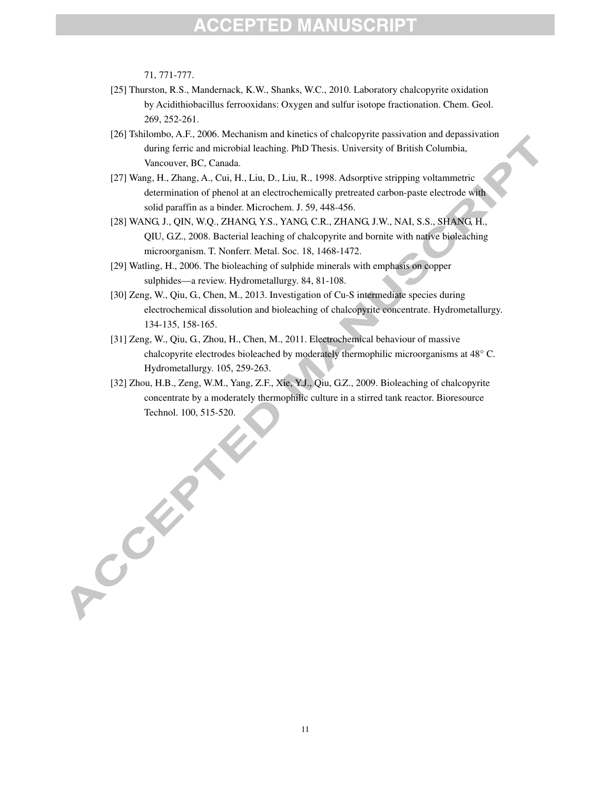71, 771-777.

A COLLES

- [25] Thurston, R.S., Mandernack, K.W., Shanks, W.C., 2010. Laboratory chalcopyrite oxidation by Acidithiobacillus ferrooxidans: Oxygen and sulfur isotope fractionation. Chem. Geol. 269, 252-261.
- [26] Tshilombo, A.F., 2006. Mechanism and kinetics of chalcopyrite passivation and depassivation during ferric and microbial leaching. PhD Thesis. University of British Columbia, Vancouver, BC, Canada.
- [27] Wang, H., Zhang, A., Cui, H., Liu, D., Liu, R., 1998. Adsorptive stripping voltammetric determination of phenol at an electrochemically pretreated carbon-paste electrode with solid paraffin as a binder. Microchem. J. 59, 448-456.
- [28] WANG, J., QIN, W.Q., ZHANG, Y.S., YANG, C.R., ZHANG, J.W., NAI, S.S., SHANG, H., QIU, G.Z., 2008. Bacterial leaching of chalcopyrite and bornite with native bioleaching microorganism. T. Nonferr. Metal. Soc. 18, 1468-1472.
- [29] Watling, H., 2006. The bioleaching of sulphide minerals with emphasis on copper sulphides—a review. Hydrometallurgy. 84, 81-108.
- [30] Zeng, W., Qiu, G., Chen, M., 2013. Investigation of Cu-S intermediate species during electrochemical dissolution and bioleaching of chalcopyrite concentrate. Hydrometallurgy. 134-135, 158-165.
- [31] Zeng, W., Qiu, G., Zhou, H., Chen, M., 2011. Electrochemical behaviour of massive chalcopyrite electrodes bioleached by moderately thermophilic microorganisms at 48° C. Hydrometallurgy. 105, 259-263.
- [32] Zhou, H.B., Zeng, W.M., Yang, Z.F., Xie, Y.J., Qiu, G.Z., 2009. Bioleaching of chalcopyrite concentrate by a moderately thermophilic culture in a stirred tank reactor. Bioresource Technol. 100, 515-520.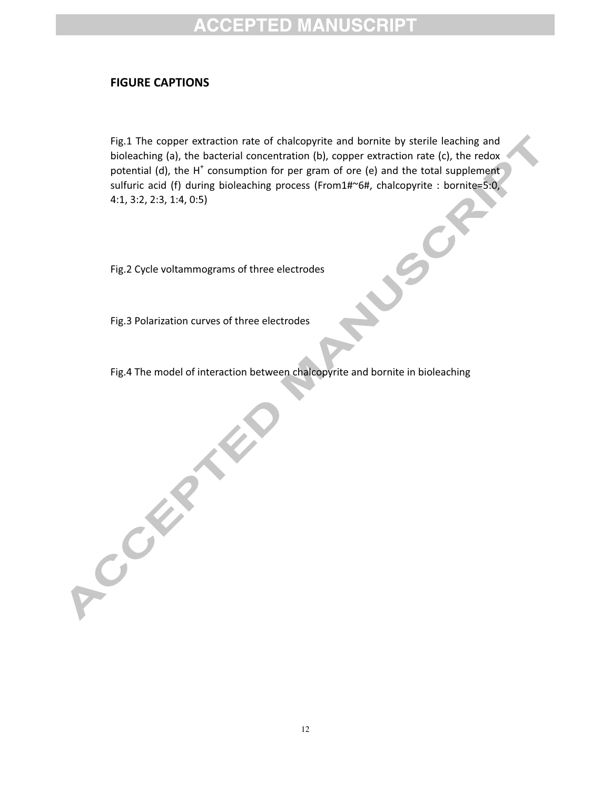### FIGURE CAPTIONS

Fig.1 The copper extraction rate of chalcopyrite and bornite by sterile leaching and bioleaching (a), the bacterial concentration (b), copper extraction rate (c), the redox potential (d), the H<sup>+</sup> consumption for per gram of ore (e) and the total supplement sulfuric acid (f) during bioleaching process (From1#~6#, chalcopyrite : bornite=5:0, 4:1, 3:2, 2:3, 1:4, 0:5)

Fig.2 Cycle voltammograms of three electrodes

Fig.3 Polarization curves of three electrodes

 $\left($ 

Creek

Fig.4 The model of interaction between chalcopyrite and bornite in bioleaching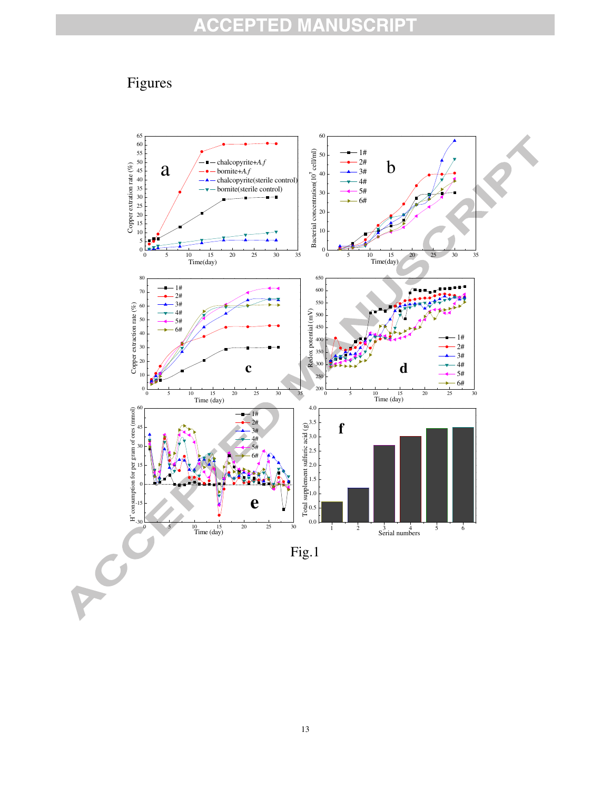# Figures

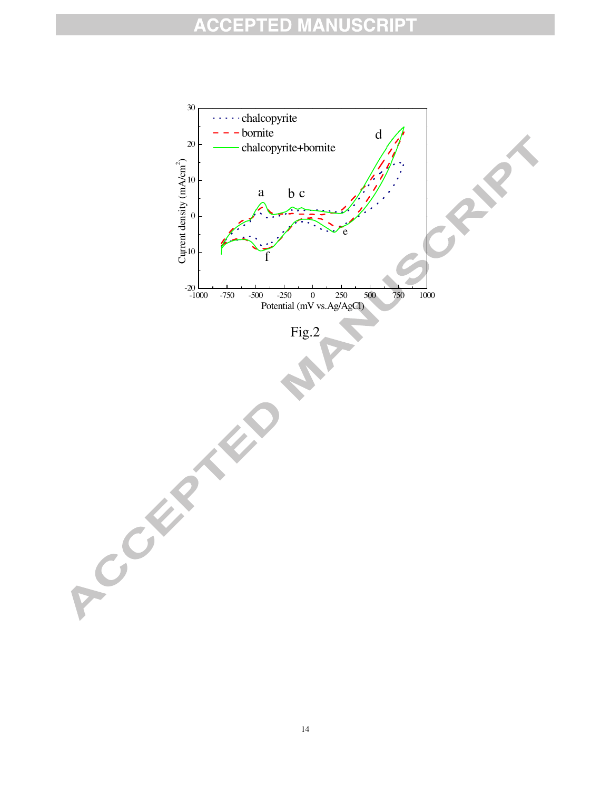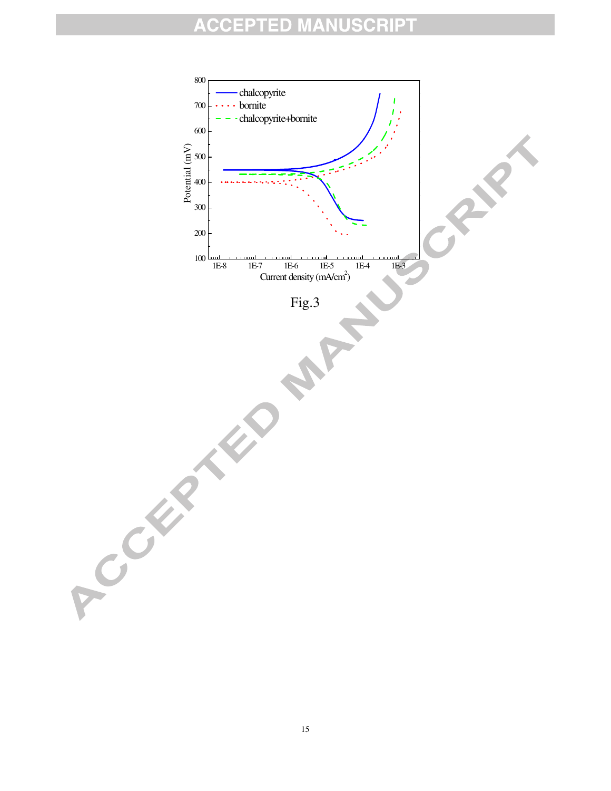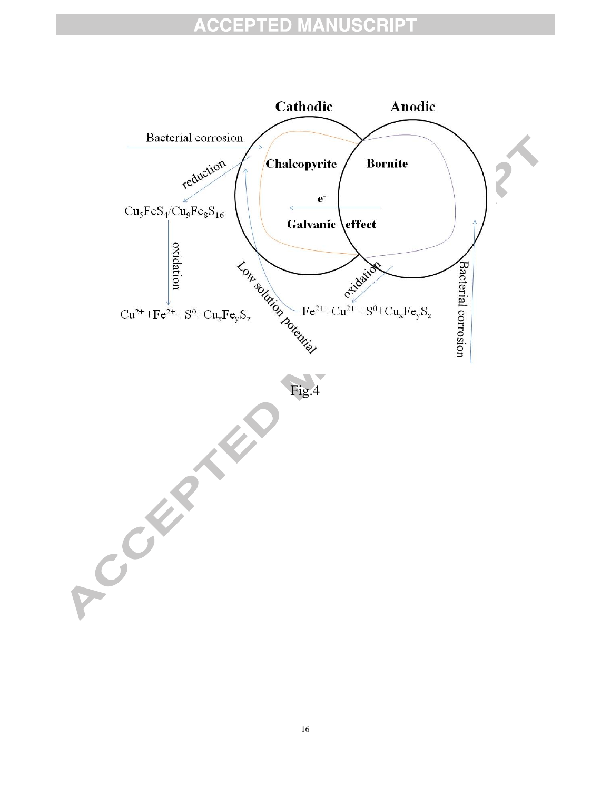